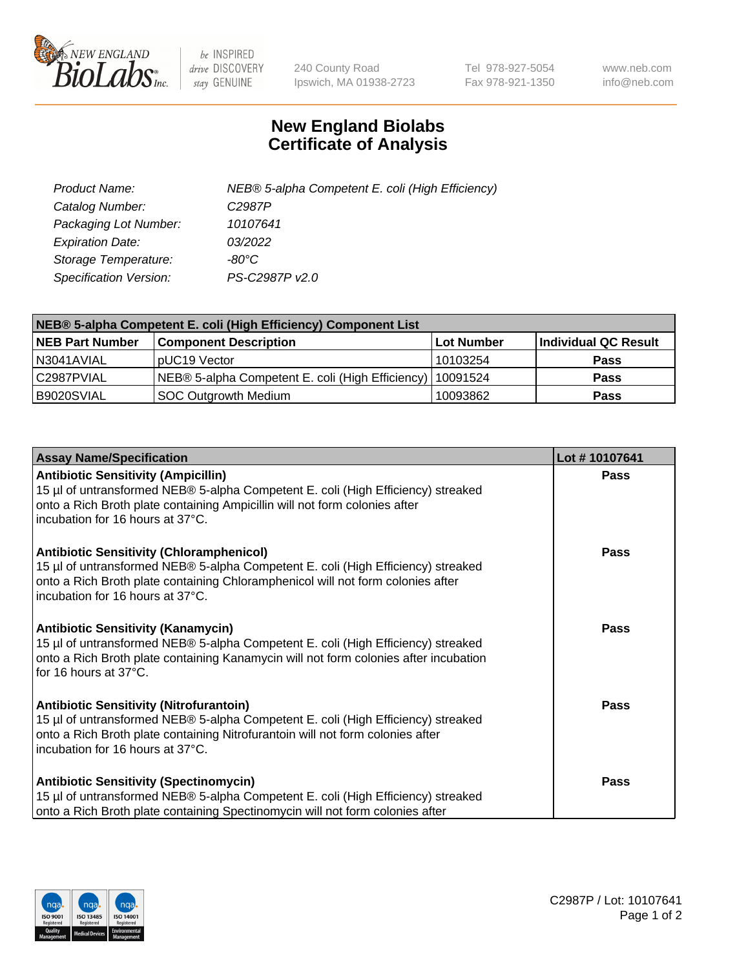

 $be$  INSPIRED drive DISCOVERY stay GENUINE

240 County Road Ipswich, MA 01938-2723 Tel 978-927-5054 Fax 978-921-1350 www.neb.com info@neb.com

## **New England Biolabs Certificate of Analysis**

| Product Name:           | NEB® 5-alpha Competent E. coli (High Efficiency) |
|-------------------------|--------------------------------------------------|
| Catalog Number:         | C <sub>2987</sub> P                              |
| Packaging Lot Number:   | 10107641                                         |
| <b>Expiration Date:</b> | 03/2022                                          |
| Storage Temperature:    | -80°C                                            |
| Specification Version:  | PS-C2987P v2.0                                   |

| NEB® 5-alpha Competent E. coli (High Efficiency) Component List |                                                             |            |                      |  |
|-----------------------------------------------------------------|-------------------------------------------------------------|------------|----------------------|--|
| <b>NEB Part Number</b>                                          | <b>Component Description</b>                                | Lot Number | Individual QC Result |  |
| N3041AVIAL                                                      | pUC19 Vector                                                | 10103254   | <b>Pass</b>          |  |
| C2987PVIAL                                                      | NEB® 5-alpha Competent E. coli (High Efficiency)   10091524 |            | <b>Pass</b>          |  |
| B9020SVIAL                                                      | <b>SOC Outgrowth Medium</b>                                 | 10093862   | <b>Pass</b>          |  |

| <b>Assay Name/Specification</b>                                                                                                                                                                                                                              | Lot #10107641 |
|--------------------------------------------------------------------------------------------------------------------------------------------------------------------------------------------------------------------------------------------------------------|---------------|
| <b>Antibiotic Sensitivity (Ampicillin)</b><br>15 µl of untransformed NEB® 5-alpha Competent E. coli (High Efficiency) streaked<br>onto a Rich Broth plate containing Ampicillin will not form colonies after<br>incubation for 16 hours at 37°C.             | Pass          |
| <b>Antibiotic Sensitivity (Chloramphenicol)</b><br>15 µl of untransformed NEB® 5-alpha Competent E. coli (High Efficiency) streaked<br>onto a Rich Broth plate containing Chloramphenicol will not form colonies after<br>l incubation for 16 hours at 37°C. | Pass          |
| <b>Antibiotic Sensitivity (Kanamycin)</b><br>15 µl of untransformed NEB® 5-alpha Competent E. coli (High Efficiency) streaked<br>onto a Rich Broth plate containing Kanamycin will not form colonies after incubation<br>for 16 hours at 37°C.               | Pass          |
| <b>Antibiotic Sensitivity (Nitrofurantoin)</b><br>15 µl of untransformed NEB® 5-alpha Competent E. coli (High Efficiency) streaked<br>onto a Rich Broth plate containing Nitrofurantoin will not form colonies after<br>incubation for 16 hours at 37°C.     | <b>Pass</b>   |
| <b>Antibiotic Sensitivity (Spectinomycin)</b><br>15 µl of untransformed NEB® 5-alpha Competent E. coli (High Efficiency) streaked<br>onto a Rich Broth plate containing Spectinomycin will not form colonies after                                           | <b>Pass</b>   |